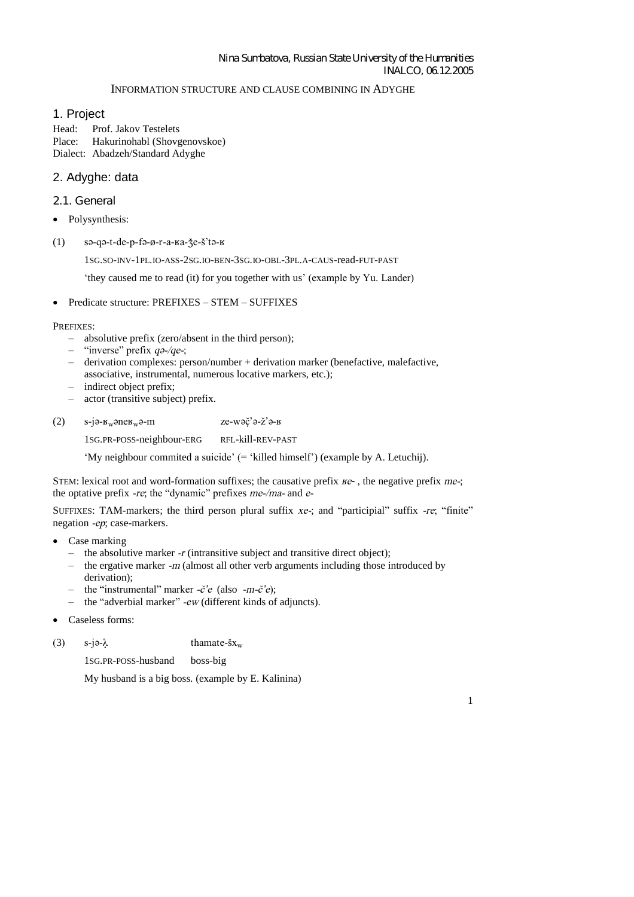# Nina Sumbatova, Russian State University of the Humanities INALCO, 06.12.2005

## INFORMATION STRUCTURE AND CLAUSE COMBINING IN ADYGHE

# 1. Project

Head: Prof. Jakov Testelets Place: Hakurinohabl (Shovgenovskoe) Dialect: Abadzeh/Standard Adyghe

# 2. Adyghe: data

- 2.1. General
- Polysynthesis:
- $(1)$  sə-qə-t-de-p-fə-ø-r-a- $a$ - $\ddot{\text{z}}$ e- $\ddot{\text{z}}$ 'tə- $\ddot{\text{z}}$

1SG.SO-INV-1PL.IO-ASS-2SG.IO-BEN-3SG.IO-OBL-3PL.A-CAUS-read-FUT-PAST

'they caused me to read (it) for you together with us'(examplebyYu.Lander)

Predicate structure: PREFIXES – STEM – SUFFIXES

# PREFIXES:

- absolutive prefix (zero/absent in the third person);
- "inverse" prefix *q*2-/*qe*-;
- derivation complexes: person/number + derivation marker (benefactive, malefactive,
- associative, instrumental, numerous locative markers, etc.);
- indirect object prefix;
- actor (transitive subject) prefix.
- (2)  $s-j\theta \kappa_w \theta m$  ze-w $\phi^2 \theta \zeta^2 \theta \kappa$

1SG.PR-POSS-neighbour-ERG RFL-kill-REV-PAST

'My neighbour commited asuicide'(='killed himself') (example by A. Letuchij).

STEM: lexical root and word-formation suffixes; the causative prefix *Re*- , the negative prefix *me-*; the optative prefix *-re*; the "dynamic" prefixes *me-/ma-* and *e-*

SUFFIXES: TAM-markers; the third person plural suffix *xe*-; and "participial" suffix *-re*; "finite" negation *-ep*; case-markers.

- Case marking
	- the absolutive marker *-r* (intransitive subject and transitive direct object);
	- the ergative marker *-m* (almost all other verb arguments including those introduced by derivation);
	- the"instrumental"marker*-C'e*(also *-m-C'e*);
	- the "adverbial marker"*-ew* (different kinds of adjuncts).
- Caseless forms:

(3)  $s-j\partial \lambda$  thamate- $\tilde{s}x_w$ 

1SG.PR-POSS-husband boss-big

My husband is a big boss. (example by E. Kalinina)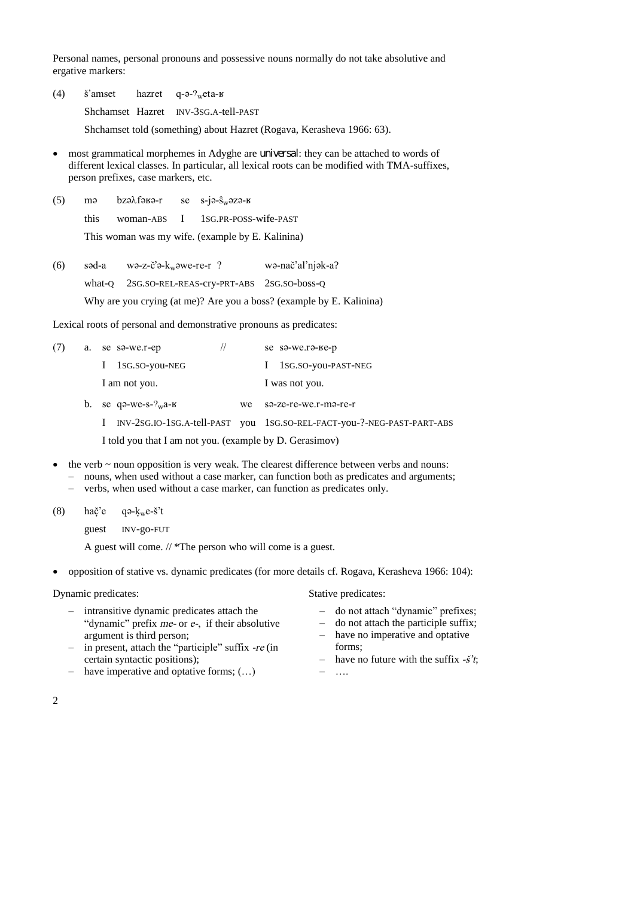Personal names, personal pronouns and possessive nouns normally do not take absolutive and ergative markers:

(4)  $\check{s}$ 'amset hazret q- $\theta$ - $\mathcal{P}_{w}$ eta-K

Shchamset Hazret INV-3SG.A-tell-PAST

Shchamset told (something) about Hazret (Rogava, Kerasheva 1966: 63).

- most grammatical morphemes in Adyghe are universal: they can be attached to words of different lexical classes. In particular, all lexical roots can be modified with TMA-suffixes, person prefixes, case markers, etc.
- (5) ma  $bz \partial x f \partial y r$  se s-ja- $\hat{s}_w \partial z \partial y r$

this woman-ABS I 1SG.PR-POSS-wife-PAST

This woman was my wife. (example by E. Kalinina)

| (6) | səd-a  | $w$ ə-z-c'ə- $k_w$ əwe-re-r?                                         | wə-nač'al'niək-a? |
|-----|--------|----------------------------------------------------------------------|-------------------|
|     | what-O | 2SG.SO-REL-REAS-CTV-PRT-ABS 2SG.SO-boss-Q                            |                   |
|     |        | Why are you crying (at me)? Are you a boss? (example by E. Kalinina) |                   |

Lexical roots of personal and demonstrative pronouns as predicates:

| (7) | a. | se sa-we.r-ep                  |    | se sa-we.ra-ke-p                                                       |
|-----|----|--------------------------------|----|------------------------------------------------------------------------|
|     |    | 1sg.so-you-NEG                 |    | 1SG.SO-you-PAST-NEG                                                    |
|     |    | I am not you.                  |    | I was not you.                                                         |
|     |    | b. se qo-we-s- $v_{\rm w}$ a-k | we | sə-ze-re-we.r-mə-re-r                                                  |
|     |    |                                |    | INV-2SG.IO-1SG.A-tell-PAST you 1SG.SO-REL-FACT-you-?-NEG-PAST-PART-ABS |
|     |    |                                |    |                                                                        |

I told you that I am not you. (example by D. Gerasimov)

- the verb ~ noun opposition is very weak. The clearest difference between verbs and nouns:
	- nouns, when used without a case marker, can function both as predicates and arguments;
		- verbs, when used without a case marker, can function as predicates only.
- (8) hač'e qə- $k_w e$ -š't

guest INV-go-FUT

A guest will come. // \*The person who will come is a guest.

opposition of stative vs. dynamic predicates (for more details cf. Rogava, Kerasheva 1966: 104):

#### Dynamic predicates: Stative predicates:

- intransitive dynamic predicates attach the "dynamic" prefix *me*- or *e*-, if their absolutive argument is third person;
- in present, attach the "participle"suffix*-re* (in certain syntactic positions);
- have imperative and optative forms; (…)

- donotattach"dynamic"prefixes;
- do not attach the participle suffix;
- have no imperative and optative forms;
- have no future with the suffix *-S't*;
- $\ldots$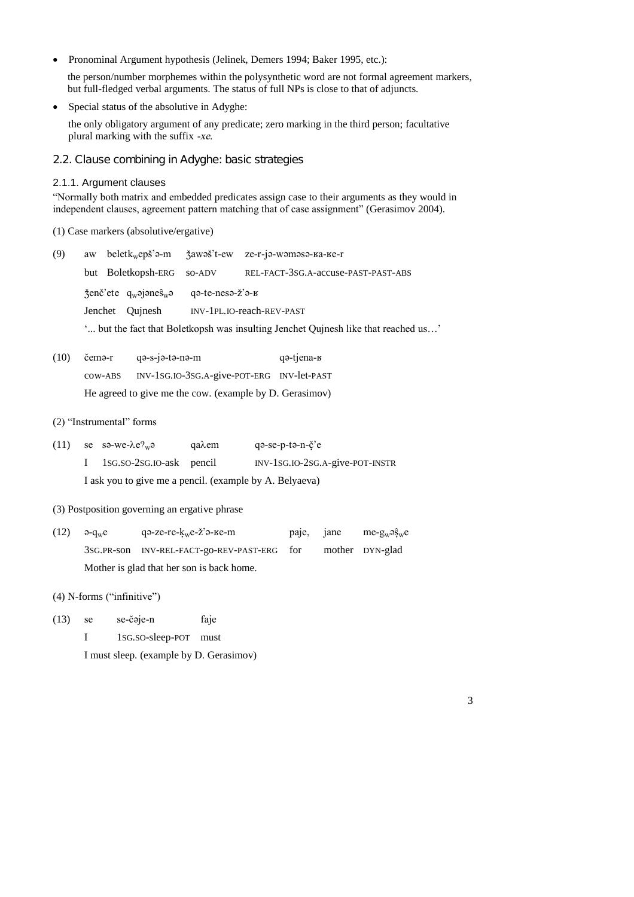Pronominal Argument hypothesis (Jelinek, Demers 1994; Baker 1995, etc.):  $\bullet$ 

the person/number morphemes within the polysynthetic word are not formal agreement markers, but full-fledged verbal arguments. The status of full NPs is close to that of adjuncts.

Special status of the absolutive in Adyghe:  $\bullet$ 

the only obligatory argument of any predicate; zero marking in the third person; facultative plural marking with the suffix -xe.

2.2. Clause combining in Adyghe: basic strategies

#### 2.1.1. Argument clauses

"Normally both matrix and embedded predicates assign case to their arguments as they would in independent clauses, agreement pattern matching that of case assignment" (Gerasimov 2004).

# (1) Case markers (absolutive/ergative)

| (9) |                                                       |                  | aw belet $k_w$ epš'a-m $\zeta$ awaš't-ew ze-r-ja-wamasa- $\zeta$ a-re-r            |
|-----|-------------------------------------------------------|------------------|------------------------------------------------------------------------------------|
|     | but Boletkopsh-ERG so-ADV                             |                  | REL-FACT-3SG.A-accuse-PAST-PAST-ABS                                                |
|     | $\zeta$ enč'ete q <sub>w</sub> ojones <sup>2</sup> wo | qə-te-nesə-ž'ə-в |                                                                                    |
|     | Jenchet Oujnesh                                       |                  | INV-1PL.IO-reach-REV-PAST                                                          |
|     |                                                       |                  | ' but the fact that Boletkopsh was insulting Jenchet Quinesh like that reached us' |

 $(10)$ čemə-r qə-s-jə-tə-nə-m q<sub>3</sub>-tjena-к INV-1SG.IO-3SG.A-give-POT-ERG INV-let-PAST cow-ABS He agreed to give me the cow. (example by D. Gerasimov)

#### (2) "Instrumental" forms

 $(11)$ se sa-we- $\lambda e \gamma_w a$ qaλem qa-se-p-ta-n-č'e  $\mathbf I$ 1sG.so-2sG.IO-ask pencil INV-1SG.IO-2SG.A-give-POT-INSTR I ask you to give me a pencil. (example by A. Belyaeva)

## (3) Postposition governing an ergative phrase

дә-ze-re- $k<sub>w</sub>$ е-ž'ә-ве-m  $(12)$  $\partial$ - $q_w$ e paie. iane  $me-<sub>w</sub> \partial \hat{S}_w e$ 3SG.PR-son INV-REL-FACT-go-REV-PAST-ERG for mother DYN-glad Mother is glad that her son is back home.

 $(4)$  N-forms ("infinitive")

- $(13)$ se-čəje-n faje se
	- $\mathbf{I}$ 1sG.SO-sleep-POT must

I must sleep. (example by D. Gerasimov)

 $\overline{3}$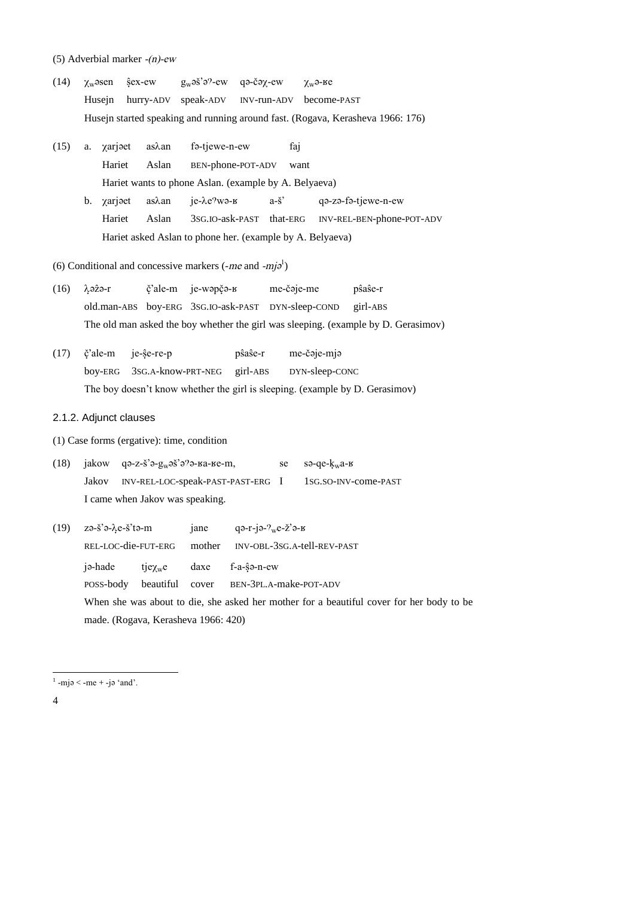- (5) Adverbial marker  $-(n)$ -ew
- $(14)$  $\chi$ <sub>w</sub>əsen şex-ew  $g_w$ əš'ə?-ew qə-čə $\chi$ -ew  $\chi_{w}$ ә-ке Husejn hurry-ADV speak-ADV INV-run-ADV become-PAST Husejn started speaking and running around fast. (Rogava, Kerasheva 1966: 176)
- $(15)$ a. xarjeet asλan fa-tjewe-n-ew faj Hariet Aslan BEN-phone-POT-ADV want Hariet wants to phone Aslan. (example by A. Belyaeva)  $a - \check{s}$ b. xarjeet as $\lambda$ an je- $\lambda$ e?wә-в qə-zə-fə-tjewe-n-ew Hariet Aslan 3sG.IO-ask-PAST that-ERG INV-REL-BEN-phone-POT-ADV Hariet asked Aslan to phone her. (example by A. Belyaeva)

(6) Conditional and concessive markers (-me and -mj $\varphi^1$ )

- λə<del>î</del>ə-r č'ale-m ie-wapča-в me-čəie-me pŝaŝe-r  $(16)$ old.man-ABS boy-ERG 3SG.IO-ask-PAST DYN-sleep-COND girl-ABS The old man asked the boy whether the girl was sleeping. (example by D. Gerasimov)
- pŝaŝe-r  $(17)$ č'ale-m je-ŝe-re-p me-čəje-mjə bov-ERG 3SG.A-know-PRT-NEG girl-ABS DYN-sleep-CONC The boy doesn't know whether the girl is sleeping. (example by D. Gerasimov)

## 2.1.2. Adjunct clauses

(1) Case forms (ergative): time, condition

- $(18)$ jakow qә-z-š'ә-g<sub>w</sub>әš'ә?ә-ва-ве-т, sә-qe- $k_w$ а-к se INV-REL-LOC-speak-PAST-PAST-ERG I Jakov 1sG.SO-INV-come-PAST I came when Jakov was speaking.
- $(19)$  zə-š'ə- $\lambda$ e-š'tə-m qә-r-jә- $2_w$ e-ž'ә-к jane INV-OBL-3SG.A-tell-REV-PAST REL-LOC-die-FUT-ERG mother ja-hade  $tje\chi_{w}e$ daxe f-a-ŝə-n-ew BEN-3PL.A-make-POT-ADV POSS-body beautiful cover When she was about to die, she asked her mother for a beautiful cover for her body to be made. (Rogava, Kerasheva 1966: 420)

 $\overline{4}$ 

 $\frac{1}{2}$ -mjə < -me + -jə 'and'.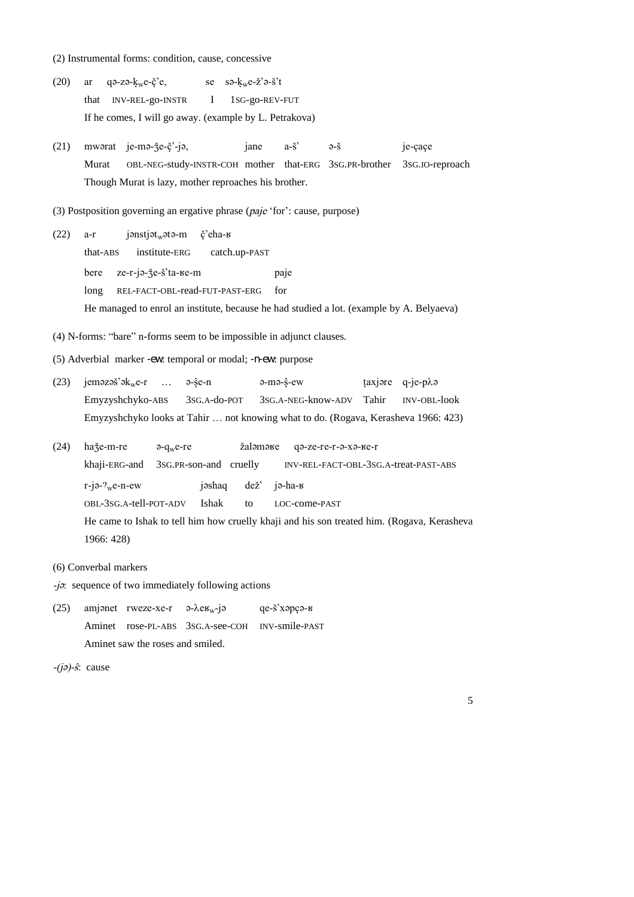- (2) Instrumental forms: condition, cause, concessive
- $(20)$  $q^2$ -zə- $k_w$ e-č'e. se sa- $k_w$ e-ž'a-š't ar that INV-REL-go-INSTR  $\mathbf I$ 1sG-go-REV-FUT If he comes, I will go away. (example by L. Petrakova)
- $(21)$ mworat je-mo-že-č'-jo, jane  $a-\check{s}$ je-cace  $\partial - \check{S}$ OBL-NEG-study-INSTR-COH mother that-ERG 3SG.PR-brother Murat 3sG.IO-reproach Though Murat is lazy, mother reproaches his brother.
- (3) Postposition governing an ergative phrase (paje 'for': cause, purpose)
- $(22)$  $a-r$  $j$ ənst $j$ ət $k_w$ ətə-m č'eha-в that-ABS institute-ERG catch.up-PAST bere ze-r-jә-že-š'ta-ке-m paje REL-FACT-OBL-read-FUT-PAST-ERG long for He managed to enrol an institute, because he had studied a lot. (example by A. Belyaeva)
- (4) N-forms: "bare" n-forms seem to be impossible in adjunct clauses.
- (5) Adverbial marker -ew: temporal or modal; -n-ew: purpose
- $(23)$  jemezes'e $k<sub>w</sub>e-r$  ...  $\hat{e}$ -se-n  $a-ma-\hat{s}-ew$ taxjore q-je-plo Emyzyshchyko-ABS 3sG.A-do-POT 3sG.A-NEG-know-ADV Tahir **INV-OBL-look** Emyzyshchyko looks at Tahir ... not knowing what to do. (Rogava, Kerasheva 1966: 423)
- $(24)$ haže-m-re  $a-q_w e-re$ žalamake qa-ze-re-r-a-xa-ke-r khaji-ERG-and 3sG.PR-son-and cruelly INV-REL-FACT-OBL-3SG.A-treat-PAST-ABS  $r-i\partial-\frac{1}{w}e-n-ew$  $de\check{z}$ jә-ha-в jəshaq OBL-3SG.A-tell-POT-ADV Ishak  $\mathsf{to}$ LOC-come-PAST He came to Ishak to tell him how cruelly khaji and his son treated him. (Rogava, Kerasheva 1966: 428)
- (6) Converbal markers
- $-j\sigma$ : sequence of two immediately following actions
- $(25)$ amjonet rweze-xe-r  $\theta$ - $\lambda$ e $\mu$ -j $\theta$ qe-š'хәрсә-в Aminet rose-PL-ABS 3SG.A-see-COH INV-smile-PAST Aminet saw the roses and smiled.
- $-(i\partial)-\hat{s}$ : cause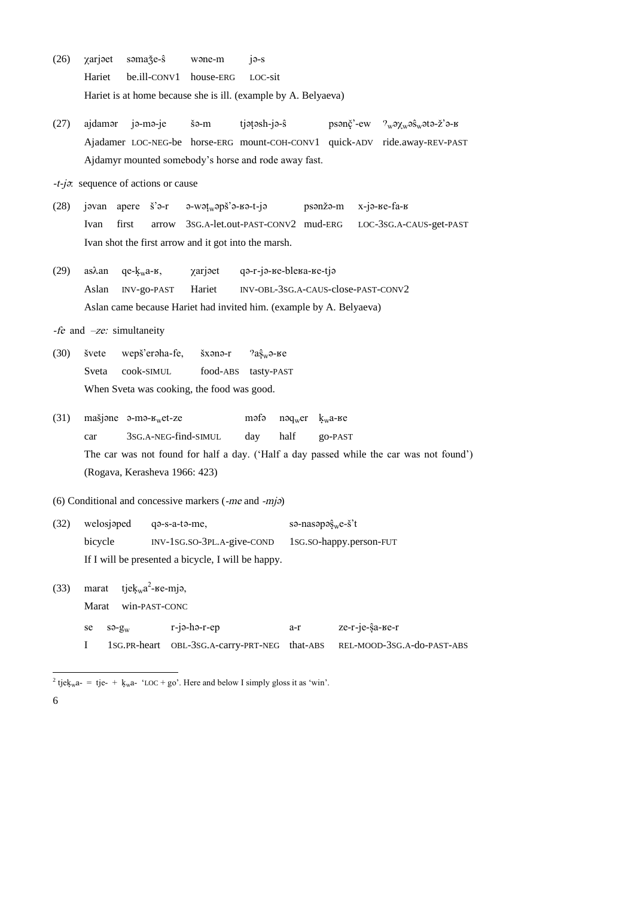- $(26)$  $\chi$ arjaet səmaže-s wone-m  $i\theta$ -s Hariet be.ill-CONV1 house-ERG LOC-sit Hariet is at home because she is ill. (example by A. Belyaeva)
- $(27)$ ajdamar ja-ma-je šə-m tjatash-ja-ŝ psənč'-ew  $\gamma_w$ ə $\gamma_w$ əs $_w$ ətə- $\check{z}$ 'ə- $\check{z}$ Ajadamer LOC-NEG-be horse-ERG mount-COH-CONV1 quick-ADV ride.away-REV-PAST Ajdamyr mounted somebody's horse and rode away fast.
- $-t-j\sigma$ : sequence of actions or cause
- $(28)$ javan apere  $\check{s}$ <sup>2</sup> $\sigma$ -r  $a-wat_w$ apš'a- $a-t-ja$ psənžə-m х-јә-ве-fа-в Ivan first arrow 3sG.A-let.out-PAST-CONV2 mud-ERG LOC-3SG.A-CAUS-get-PAST Ivan shot the first arrow and it got into the marsh.
- qa-r-ja-ке-blека-ке-tja  $(29)$ asλan  $qe-k<sub>w</sub>a-**g**$ , χarjet Hariet INV-OBL-3SG.A-CAUS-close-PAST-CONV2 Aslan INV-go-PAST Aslan came because Hariet had invited him. (example by A. Belyaeva)

-fe and  $-ze$ : simultaneity

 $(30)$ švete wepš'eraha-fe, šxənə-r  $2a\hat{s}_{w}$ ә-ве Sveta cook-SIMUL food-ABS tasty-PAST When Sveta was cooking, the food was good.

 $(31)$ mašjone  $\theta$ -m $\theta$ - $\mu$ <sub>w</sub>et-ze məfə nәq<sub>w</sub>er  $k_w$ а-ве 3sG.A-NEG-find-SIMUL half car day go-PAST The car was not found for half a day. ('Half a day passed while the car was not found') (Rogava, Kerasheva 1966: 423)

(6) Conditional and concessive markers  $(-me$  and  $-mj\partial$ 

welosjaped sə-nasəpəş<sub>w</sub>e-š't  $(32)$ qa-s-a-ta-me, bicycle INV-1sG.SO-3PL.A-give-COND 1sG.sO-happy.person-FUT If I will be presented a bicycle, I will be happy.

tjek<sub>w</sub>a<sup>2</sup>- $\epsilon$ e-mjə,  $(33)$ marat Marat win-PAST-CONC

| $se$ $s \partial - g_w$ | $r$ -jə-hə- $r$ -ep | a-r | ze-r-je-ŝa-ве-r                                                          |
|-------------------------|---------------------|-----|--------------------------------------------------------------------------|
|                         |                     |     | 1SG.PR-heart OBL-3SG.A-carry-PRT-NEG that-ABS REL-MOOD-3SG.A-do-PAST-ABS |

<sup>&</sup>lt;sup>2</sup> tjek<sub>w</sub>a- = tje- + k<sub>w</sub>a- 'LOC + go'. Here and below I simply gloss it as 'win'.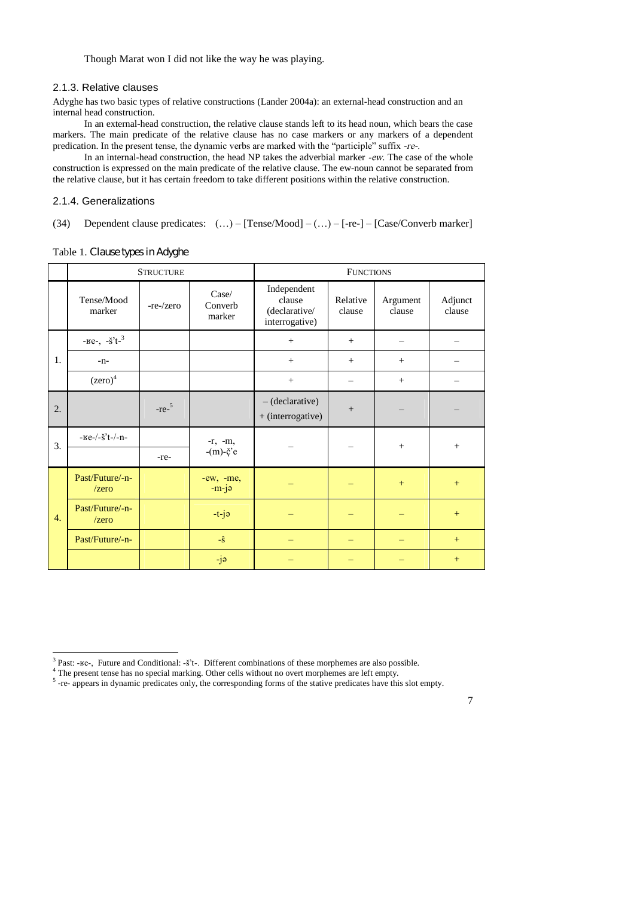Though Marat won I did not like the way he was playing.

# 2.1.3. Relative clauses

Adyghe has two basic types of relative constructions (Lander 2004a): an external-head construction and an internal head construction.

In an external-head construction, the relative clause stands left to its head noun, which bears the case markers. The main predicate of the relative clause has no case markers or any markers of a dependent predication. In the present tense, the dynamic verbs are marked with the "participle" suffix -re-.

In an internal-head construction, the head NP takes the adverbial marker *-ew*. The case of the whole construction is expressed on the main predicate of the relative clause. The ew-noun cannot be separated from the relative clause, but it has certain freedom to take different positions within the relative construction.

#### 2.1.4. Generalizations

## (34) Dependent clause predicates: (…)–[Tense/Mood] –(…)–[-re-] –[Case/Converb marker]

|                  | <b>STRUCTURE</b>                                      |                  |                                  | <b>FUNCTIONS</b>                                         |                    |                    |                   |
|------------------|-------------------------------------------------------|------------------|----------------------------------|----------------------------------------------------------|--------------------|--------------------|-------------------|
|                  | Tense/Mood<br>marker                                  | $-re$ - $/$ zero | Case/<br>Converb<br>marker       | Independent<br>clause<br>(declarative/<br>interrogative) | Relative<br>clause | Argument<br>clause | Adjunct<br>clause |
|                  | $ \text{He}$ - $\frac{1}{2}$ $\text{He}$ <sup>3</sup> |                  |                                  | $+$                                                      | $+$                |                    |                   |
| 1.               | $-n-$                                                 |                  |                                  | $+$                                                      | $^{+}$             | $+$                |                   |
|                  | $(zero)^4$                                            |                  |                                  | $\qquad \qquad +$                                        |                    | $+$                |                   |
| 2.               |                                                       | $-re^{-5}$       |                                  | $-(\text{ declarative})$<br>+ (interrogative)            |                    |                    |                   |
| 3.               | $ Ee$ - $\frac{S^2t}{-}$ $ n$ -                       | -re-             | $-r, -m,$<br>$-(m)-\check{c}$ 'e |                                                          |                    | $+$                | $+$               |
|                  | Past/Future/-n-<br>$\ell$ zero                        |                  | $-ew$ , $-me$ ,<br>$-m-j$        |                                                          |                    | $+$                | $+$               |
| $\overline{4}$ . | Past/Future/-n-<br>$\ell$ zero                        |                  | $-t-j$ ə                         |                                                          |                    |                    | $+$               |
|                  | Past/Future/-n-                                       |                  | $-\hat{S}$                       |                                                          |                    |                    | $+$               |
|                  |                                                       |                  | -jə                              |                                                          |                    |                    | $^{+}$            |

Table 1. Clause types in Adyghe

 $3$  Past: - $\text{ke}$ -, Future and Conditional: - $\ddot{s}$ 't-. Different combinations of these morphemes are also possible.

<sup>&</sup>lt;sup>4</sup> The present tense has no special marking. Other cells without no overt morphemes are left empty.

<sup>&</sup>lt;sup>5</sup>-re- appears in dynamic predicates only, the corresponding forms of the stative predicates have this slot empty.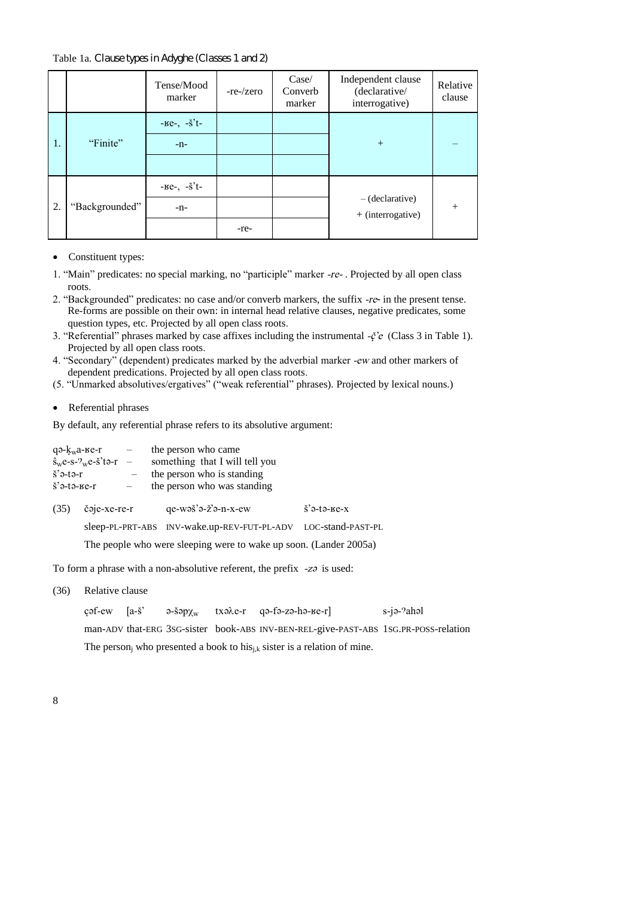Table 1a. Clause types in Adyghe (Classes 1 and 2)

|    |                | Tense/Mood<br>marker                        | -re-/zero | Case/<br>Converb<br>marker | Independent clause<br>(declarative/<br>interrogative) | Relative<br>clause |
|----|----------------|---------------------------------------------|-----------|----------------------------|-------------------------------------------------------|--------------------|
|    |                | $ \text{Be}$ -, $-\text{S}$ <sup>2</sup> t- |           |                            |                                                       |                    |
| 1. | "Finite"       | $-n-$                                       |           |                            | $+$                                                   |                    |
|    |                |                                             |           |                            |                                                       |                    |
|    |                | $-Ke$ , $-\check{s}^t$                      |           |                            |                                                       |                    |
| 2. | "Backgrounded" | $-n-$                                       |           |                            | $-(\text{ declarative})$<br>$+$ (interrogative)       | $+$                |
|    |                |                                             | -re-      |                            |                                                       |                    |

- Constituent types:
- 1."Main"predicates: no special marking,no"participle"marker*-re-* . Projected by all open class roots.
- 2."Backgrounded"predicates: no case and/or converb markers, the suffix *-re* in the present tense. Re-forms are possible on their own: in internal head relative clauses, negative predicates, some question types, etc. Projected by all open class roots.
- 3."Referential"phrases marked by case affixes including the instrumental *-B'e*(Class 3 in Table 1). Projected by all open class roots.
- 4. "Secondary" (dependent) predicates marked by the adverbial marker -ew and other markers of dependent predications. Projected by all open class roots.
- (5. "Unmarked absolutives/ergatives" ("weak referential" phrases). Projected by lexical nouns.)
- Referential phrases

By default, any referential phrase refers to its absolutive argument:

|                                 | qә- $k_w$ а-ве-г                                            | $-$ the person who came                                           |                                 |
|---------------------------------|-------------------------------------------------------------|-------------------------------------------------------------------|---------------------------------|
|                                 | $\hat{\mathbf{s}}_{\rm w}$ e-s- $\gamma_{\rm w}$ e-š'tə-r — | something that I will tell you                                    |                                 |
| $\check{\mathbf{s}}$ 'ə-tə-r    |                                                             | the person who is standing                                        |                                 |
| $\check{\mathbf{s}}$ 'ә-tә-ке-г |                                                             | the person who was standing                                       |                                 |
| (35)                            | čəje-xe-re-r                                                | $qe-wa\ddot{s}$ <sup>2</sup> $-eX-eW$                             | $\check{\mathbf{s}}$ 'ә-tә-ке-х |
|                                 |                                                             | sleep-PL-PRT-ABS INV-wake.up-REV-FUT-PL-ADV                       | LOC-stand-PAST-PL               |
|                                 |                                                             | The people who were sleeping were to wake up soon. (Lander 2005a) |                                 |

To form a phrase with a non-absolutive referent, the prefix *-za* is used:

(36) Relative clause

cəf-ew [a-š' ə-šəp<sub>Xw</sub> txə $\lambda$ e-r qə-fə-zə-hə- $\lambda$ e-r] s-jə-?ahəl man-ADV that-ERG 3SG-sister book-ABS INV-BEN-REL-give-PAST-ABS 1SG.PR-POSS-relation The person<sub>i</sub> who presented a book to his<sub>i,k</sub> sister is a relation of mine.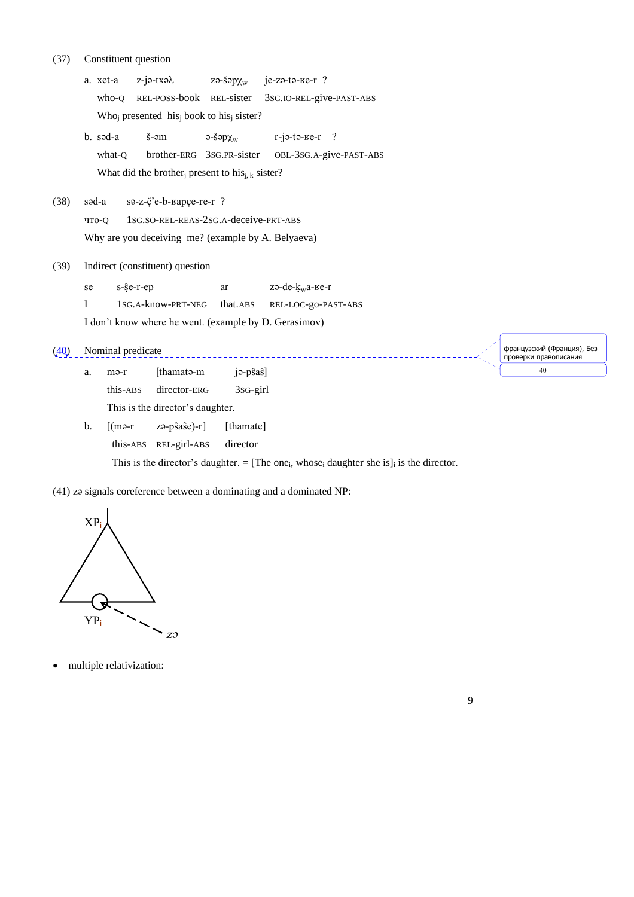#### Constituent question  $(37)$

a. xet-a z-jə-txəλ  $Z\Theta$ -Š $\Theta$ ρχ<sub>w</sub>  $je-z$ ә-tә-ке-r? REL-POSS-book REL-sister 3sG.IO-REL-give-PAST-ABS who-Q Who<sub>i</sub> presented his<sub>i</sub> book to his<sub>i</sub> sister? b. sad-a  $r$ -jə-tə- $r$ ? š-əm  $\partial$ -š $\partial p \chi_w$ what-Q brother-ERG 3SG.PR-sister OBL-3SG.A-give-PAST-ABS What did the brother present to his<sub>i, k</sub> sister? sa-z-č'e-b-kapce-re-r ?  $(38)$ səd-a 1sG.so-REL-REAS-2sG.A-deceive-PRT-ABS что-0 Why are you deceiving me? (example by A. Belyaeva)  $(39)$ Indirect (constituent) question se s-ŝe-r-ep ar zә-de-k<sub>w</sub>a-ве-r  $\mathbf I$ 1SG.A-know-PRT-NEG that.ABS REL-LOC-go-PAST-ABS I don't know where he went. (example by D. Gerasimov)  $(40)$  Nominal predicate \_\_\_\_\_\_\_\_\_\_\_\_\_ jə-pŝaŝ] [thamata-m a. mə-r this-ABS director-ERG 3s<sub>G-girl</sub> This is the director's daughter.  $zə-pŝaŝe)-r]$ [thamate]  $<sub>b</sub>$ .</sub>  $\lceil$ (mə-r this-ABS REL-girl-ABS director

This is the director's daughter. = [The one<sub>i</sub>, whose<sub>i</sub> daughter she is]<sub>i</sub> is the director.

(41) zə signals coreference between a dominating and a dominated NP:



multiple relativization:

французский (Франция), Без<br>проверки правописания 40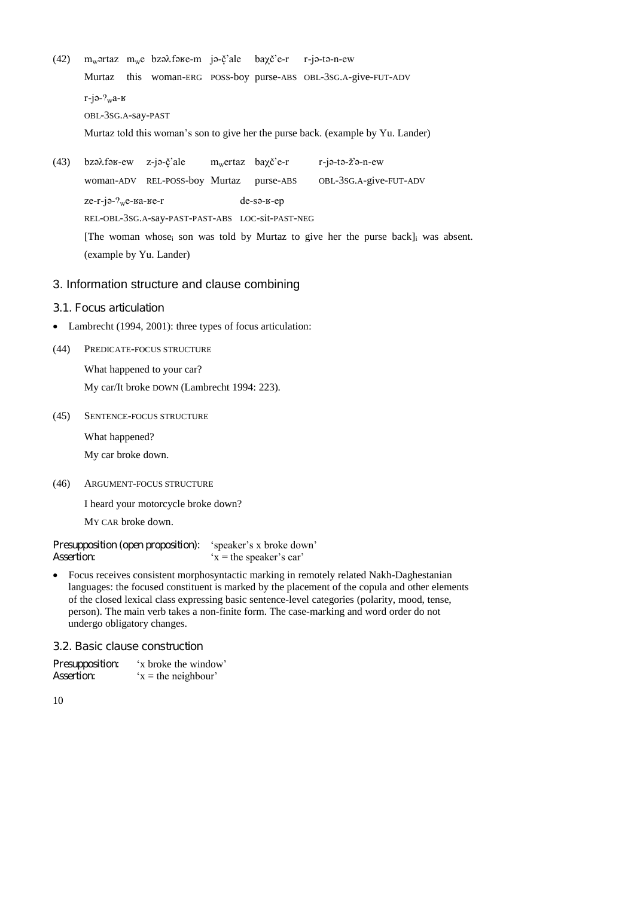- (42)  $m_w$  $\sigma$ rtaz  $m_w$ e bz $\partial$  $\partial$ f $\partial$ se-m j $\partial$ -č'ale ba $\chi$ č'e-r r-j $\partial$ -t $\partial$ -n-ew Murtaz this woman-ERG POSS-boy purse-ABS OBL-3SG.A-give-FUT-ADV г-јә- $2w$ а-к OBL-3SG.A-say-PAST Murtaz told this woman's son to give her the purse back. (example by Yu. Lander)
- (43) bzə $\lambda$ fə $s$ -ew z-jə- $\zeta$ 'ale mwertaz ba $\chi \zeta$ 'e-r r-jə-tə- $\zeta$ 'ə-n-ew woman-ADV REL-POSS-boy Murtaz purse-ABS OBL-3SG.A-give-FUT-ADV  $ze-r-je- $\gamma_w$ e- $\gamma$ ae- $\gamma$ de- $\gamma$ de- $\gamma$ ee- $\gamma$ de- $\gamma$ ee- $\gamma$ ee- $\gamma$ ee- $\gamma$ ee- $\gamma$ ee- $\gamma$ ee- $\gamma$ ee- $\gamma$ ee- $\gamma$ ee- $\gamma$ ee- $\gamma$ ee- $\gamma$ ee- $\gamma$ ee- $\gamma$ ee- $\gamma$ ee- $\gamma$ ee- $\gamma$ ee- $\gamma$ ee$ REL-OBL-3SG.A-say-PAST-PAST-ABS LOC-sit-PAST-NEG [The woman whose<sub>i</sub> son was told by Murtaz to give her the purse back]<sub>i</sub> was absent. (example by Yu. Lander)

# 3. Information structure and clause combining

- 3.1. Focus articulation
- Lambrecht (1994, 2001): three types of focus articulation:
- (44) PREDICATE-FOCUS STRUCTURE

What happened to your car? My car/It broke DOWN (Lambrecht 1994: 223).

(45) SENTENCE-FOCUS STRUCTURE

What happened? My car broke down.

(46) ARGUMENT-FOCUS STRUCTURE

I heard your motorcycle broke down?

MY CAR broke down.

Presupposition (open proposition): 'speaker's x broke down' Assertion:  $x =$ the speaker's car'

 Focus receives consistent morphosyntactic marking in remotely related Nakh-Daghestanian languages: the focused constituent is marked by the placement of the copula and other elements of the closed lexical class expressing basic sentence-level categories (polarity, mood, tense, person). The main verb takes a non-finite form. The case-marking and word order do not undergo obligatory changes.

3.2. Basic clause construction

| Presupposition:   | 'x broke the window' |
|-------------------|----------------------|
| <b>Assertion:</b> | $x =$ the neighbour' |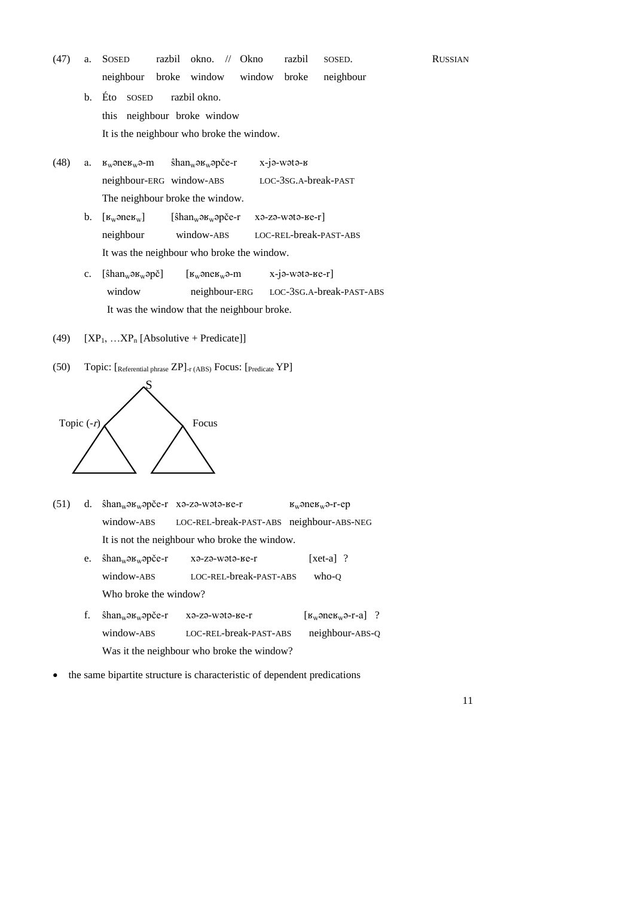- (47) a. SOSED razbil okno. // Okno razbil SOSED. RUSSIAN neighbour broke window window broke neighbour
	- b. Éto SOSED razbil okno. this neighbour broke window It is the neighbour who broke the window.
- (48) а.  $\kappa_w$ әпе $\kappa_w$ ә-т shan<sub>w</sub>ә $\kappa_w$ әрсе-т x-jә-wәtә-к neighbour-ERG window-ABS LOC-3SG.A-break-PAST The neighbour broke the window.
	- b. [RWEneRW] [IhanWERWEpCe-r xE-zE-wEtE-Re-r] neighbour window-ABS LOC-REL-break-PAST-ABS It was the neighbour who broke the window.
	- c.  $[\text{shan}_{w} \rightarrow w_{w} \rightarrow \text{Pa}_{w} \rightarrow \text{Pa}_{w} \rightarrow \text{Pa}_{w} \rightarrow \text{Pa}_{w} \rightarrow \text{Pa}_{w} \rightarrow \text{Pa}_{w} \rightarrow \text{Pa}_{w} \rightarrow \text{Pa}_{w} \rightarrow \text{Pa}_{w} \rightarrow \text{Pa}_{w} \rightarrow \text{Pa}_{w} \rightarrow \text{Pa}_{w} \rightarrow \text{Pa}_{w} \rightarrow \text{Pa}_{w} \rightarrow \text{Pa}_{w} \rightarrow \text{Pa}_{w} \rightarrow \text{Pa}_{w} \rightarrow \text{Pa}_{w} \rightarrow \text{Pa}_{w} \rightarrow \text{Pa}_{w} \rightarrow \text{Pa}_{w} \rightarrow \text{Pa}_{w} \rightarrow \text{Pa$ window neighbour-ERG LOC-3SG.A-break-PAST-ABS It was the window that the neighbour broke.
- (49)  $[XP_1, ...XP_n]$  [Absolutive + Predicate]]
- (50) Topic: [Referential phrase ZP]-r (ABS) Focus: [Predicate YP]



- (51) d.  $\hat{\text{shan}}_w \text{op} \check{\text{ce}}$ -r xə-zə-wətə- $\text{re}}$ -r  $\text{K}_w \text{op} \text{C}_w$ ə-r-ep window-ABS LOC-REL-break-PAST-ABS neighbour-ABS-NEG It is not the neighbour who broke the window.
	- e.  $\hat{\text{shan}}_w \text{ə} \text{B}_w \text{ə} \text{p\check{c}}$ e-r xə-zə-wətə- $\text{B}$ e-r [xet-a] ? window-ABS LOC-REL-break-PAST-ABS who-Q Who broke the window?
	- f.  $\hat{\text{shan}}_{w} \text{log}_{w} \text{log}_{x} x \text{log}_{x} \text{log}_{x} x \text{log}_{x} \text{log}_{x} x \text{log}_{x} \text{log}_{x} \text{log}_{x} x \text{log}_{x} \text{log}_{x} \text{log}_{x} x \text{log}_{x} \text{log}_{x} \text{log}_{x} x \text{log}_{x} \text{log}_{x} \text{log}_{x} x \text{log}_{x} \text{log}_{x} \text{log}_{x} x \text{log}_{x} \text{log}_{x} \text{log}_{x} x \text{log}_{x} \text{log}_{x} \text{log}_{x$ window-ABS LOC-REL-break-PAST-ABS neighbour-ABS-Q Was it the neighbour who broke the window?
- the same bipartite structure is characteristic of dependent predications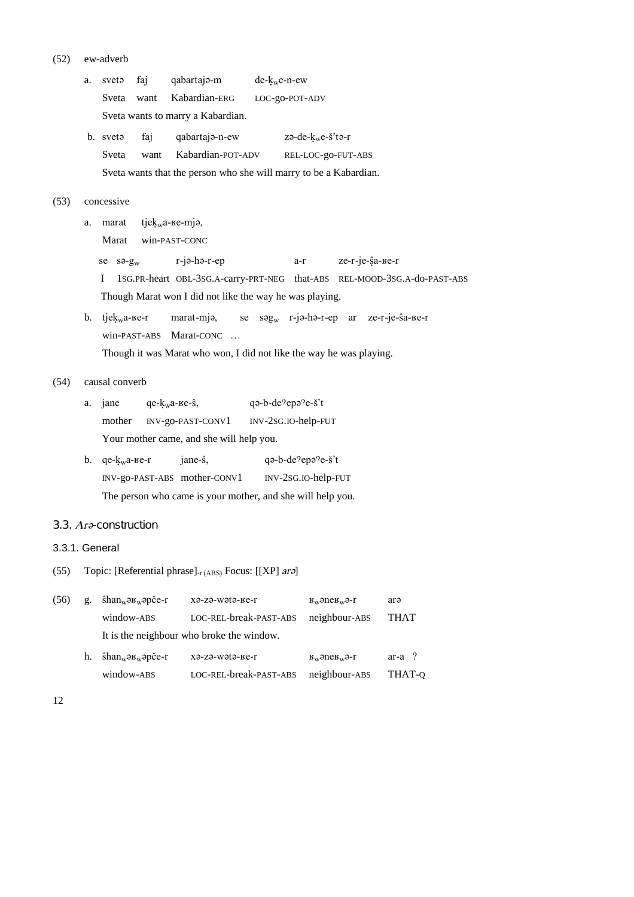| (52) | ew-adverb |
|------|-----------|
|      |           |

|                | a. | faj<br>svetə                                                      | qabartaja-m                                                         | $de-kwe-n-ew$     |                                                                |                                                                          |
|----------------|----|-------------------------------------------------------------------|---------------------------------------------------------------------|-------------------|----------------------------------------------------------------|--------------------------------------------------------------------------|
|                |    | Sveta<br>want                                                     | Kabardian-ERG                                                       | LOC-go-POT-ADV    |                                                                |                                                                          |
|                |    | Sveta wants to marry a Kabardian.                                 |                                                                     |                   |                                                                |                                                                          |
|                |    | faj<br>b. sveta                                                   | qabartaja-n-ew                                                      |                   | $z$ ə-de- $k_w$ e-š'tə-r                                       |                                                                          |
|                |    | Sveta<br>want                                                     | Kabardian-POT-ADV                                                   |                   | REL-LOC-go-FUT-ABS                                             |                                                                          |
|                |    |                                                                   | Sveta wants that the person who she will marry to be a Kabardian.   |                   |                                                                |                                                                          |
| (53)           |    | concessive                                                        |                                                                     |                   |                                                                |                                                                          |
|                | a. | tje $k_w$ а-ве-тјә,<br>marat                                      |                                                                     |                   |                                                                |                                                                          |
|                |    | Marat<br>win-PAST-CONC                                            |                                                                     |                   |                                                                |                                                                          |
|                |    | se $s_{\theta}$ -g <sub>w</sub>                                   | $r$ -jə-hə- $r$ -ep                                                 | a-r               | ze-r-je-ŝa-ве-r                                                |                                                                          |
|                |    | I                                                                 |                                                                     |                   |                                                                | 1SG.PR-heart OBL-3SG.A-carry-PRT-NEG that-ABS REL-MOOD-3SG.A-do-PAST-ABS |
|                |    |                                                                   | Though Marat won I did not like the way he was playing.             |                   |                                                                |                                                                          |
|                | b. | $t$ je $k_w$ a- $se-r$                                            | marat-mja,                                                          |                   | se $\text{sq}_{w}$ r-jə-hə-r-ep ar ze-r-je-sa- $\text{se}$ -r- |                                                                          |
|                |    | win-PAST-ABS Marat-CONC                                           |                                                                     |                   |                                                                |                                                                          |
|                |    |                                                                   | Though it was Marat who won, I did not like the way he was playing. |                   |                                                                |                                                                          |
| (54)           |    | causal converb                                                    |                                                                     |                   |                                                                |                                                                          |
|                | a. | $qe-kwa-ke-s$ ,<br>jane                                           |                                                                     | qa-b-de?epa?e-š't |                                                                |                                                                          |
|                |    | mother                                                            | INV-go-PAST-CONV1 INV-2SG.IO-help-FUT                               |                   |                                                                |                                                                          |
|                |    |                                                                   | Your mother came, and she will help you.                            |                   |                                                                |                                                                          |
|                | b. | $qe$ - $k_w$ а-ве-г                                               | jane-ŝ,                                                             | qa-b-de?epa?e-š't |                                                                |                                                                          |
|                |    |                                                                   | INV-go-PAST-ABS mother-CONV1                                        |                   | INV-2SG.IO-help-FUT                                            |                                                                          |
|                |    |                                                                   | The person who came is your mother, and she will help you.          |                   |                                                                |                                                                          |
|                |    | 3.3. Ara-construction                                             |                                                                     |                   |                                                                |                                                                          |
| 3.3.1. General |    |                                                                   |                                                                     |                   |                                                                |                                                                          |
| (55)           |    | Topic: [Referential phrase] <sub>-r (ABS)</sub> Focus: [[XP] ara] |                                                                     |                   |                                                                |                                                                          |
|                |    |                                                                   |                                                                     |                   |                                                                |                                                                          |
| (56)           | g. | $\hat{\text{shan}}_{w}$ ə $\text{B}_{w}$ əpče-r                   | хә-zә-wәtә-ке-r                                                     |                   | $B_w$ əne $B_w$ ə-r                                            | arə                                                                      |
|                |    | window-ABS                                                        | LOC-REL-break-PAST-ABS                                              |                   | neighbour-ABS                                                  | <b>THAT</b>                                                              |
|                |    |                                                                   | It is the neighbour who broke the window.                           |                   |                                                                |                                                                          |
|                | h. | $\hat{\text{shan}}_{w}$ ə $\text{B}_{w}$ əpče-r                   | хә-zә-wətә-ве-r                                                     |                   | $B_w$ əne $B_w$ ə-r                                            | $ar-a$ ?                                                                 |
|                |    | window-ABS                                                        | LOC-REL-break-PAST-ABS                                              |                   | neighbour-ABS                                                  | THAT-Q                                                                   |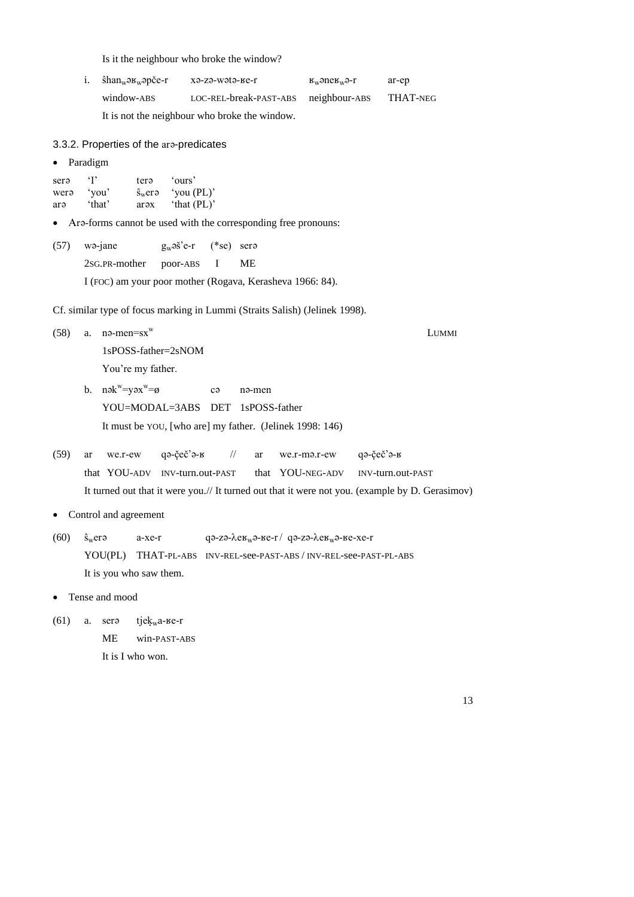Is it the neighbour who broke the window?

| 1. | ŝhan <sub>w</sub> ∍ʁ <sub>w</sub> əpče-r | хә-zә-wәtә-ке-r                      | $Rm$ -suggesting-transformation $Rm$ | ar-ep    |
|----|------------------------------------------|--------------------------------------|--------------------------------------|----------|
|    | window-ABS                               | LOC-REL-break-PAST-ABS neighbour-ABS |                                      | THAT-NEG |
|    |                                          | .                                    |                                      |          |

It is not the neighbour who broke the window.

3.3.2. Properties of the are-predicates

• Paradigm

| sera | $\cdot$ r | tera                                | 'ours'        |
|------|-----------|-------------------------------------|---------------|
| wera | 'you'     | $\hat{\mathbf{s}}_{\mathrm{w}}$ erə | 'you $(PL)$ ' |
| arə  | 'that'    | arəx                                | 'that $(PL)'$ |

• Are-forms cannot be used with the corresponding free pronouns:

| $(57)$ wa-jane            | $g_w \circ \check{s}$ 'e-r (*se) ser |                                                           |
|---------------------------|--------------------------------------|-----------------------------------------------------------|
| 2sg. PR-mother poor-ABS I |                                      | - ME                                                      |
|                           |                                      | I (FOC) am your poor mother (Rogava, Kerasheva 1966: 84). |

Cf. similar type of focus marking in Lummi (Straits Salish) (Jelinek 1998).

 $(58)$  a. na-men=sx<sup>w</sup> LUMMI

1sPOSS-father=2sNOM

You're my father.

b.  $n$ ək $w = y$ əx $w$ ca na-men YOU=MODAL=3ABS DET 1sPOSS-father It must be YOU, [who are] my father. (Jelinek 1998: 146)

|  |                                |  | $(59)$ ar we.r-ew qə-čeč'ə- $\frac{1}{2}$ // ar we.r-mə.r-ew qə-čeč'ə- $\frac{1}{2}$ |                                                                                                 |
|--|--------------------------------|--|--------------------------------------------------------------------------------------|-------------------------------------------------------------------------------------------------|
|  | that YOU-ADV INV-turn.out-PAST |  |                                                                                      | that YOU-NEG-ADV INV-turn.out-PAST                                                              |
|  |                                |  |                                                                                      | It turned out that it were you.// It turned out that it were not you. (example by D. Gerasimov) |

- Control and agreement
- (60)  $\hat{s}_{w}$ erə a-xe-r qə-zə- $\lambda$ e $\kappa_{w}$ ə- $\kappa$ e-r/ qə-zə- $\lambda$ e $\kappa_{w}$ ə- $\kappa$ e-xe-r YOU(PL) THAT-PL-ABS INV-REL-see-PAST-ABS / INV-REL-see-PAST-PL-ABS It is you who saw them.

• Tense and mood

(61) a. sera tje $k_w$ a- $r$ e-r ME win-PAST-ABS It is I who won.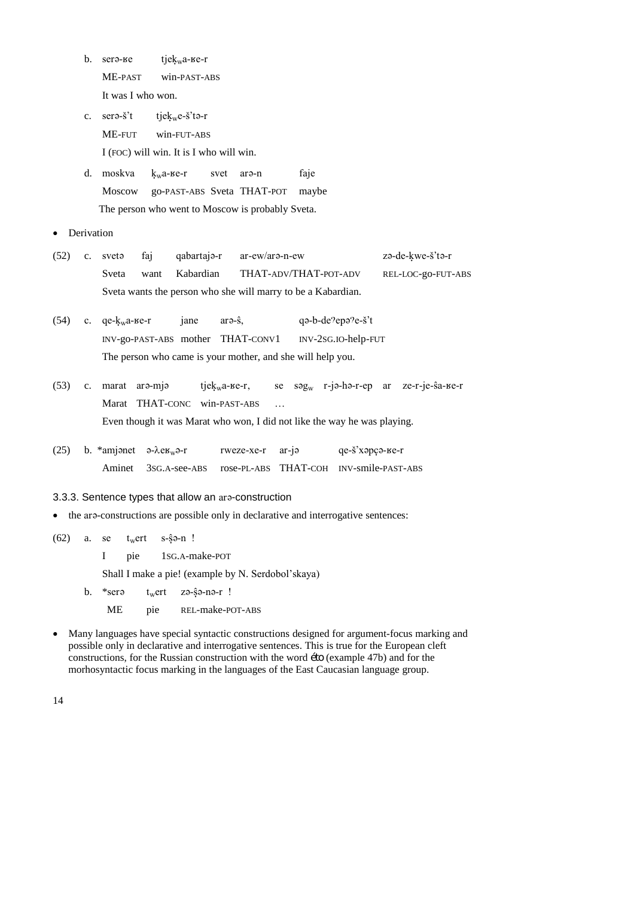- b. sera- $\text{Re}$  tjekwa- $\text{Re}-\text{Re}$ ME-PAST win-PAST-ABS It was I who won.
- c. serə- $\ddot{s}$ <sup>t</sup> tjek<sub>w</sub>e- $\ddot{s}$ <sup>t</sup>tə-r ME-FUT win-FUT-ABS I (FOC) will win. It is I who will win.
- d. moskva  $k_w$ a- $\epsilon$ -r svet ara-n faje Moscow go-PAST-ABS Sveta THAT-POT maybe The person who went to Moscow is probably Sveta.
- Derivation
- $(52)$  c. svet $\theta$  faj qabartaj $\theta$ -r ar-ew/ar $\theta$ -n-ew z $\theta$ -de-kwe-s't $\theta$ -r Sveta want Kabardian THAT-ADV/THAT-POT-ADV REL-LOC-go-FUT-ABS Sveta wants the person who she will marry to be a Kabardian.
- (54) c. qe- $k_w a$ - $B$ e-r jane ara- $\hat{s}$ , qa-b-de $\hat{e}$ epa $\hat{e}$ - $\hat{s}'$ t INV-go-PAST-ABS mother THAT-CONV1 INV-2SG.IO-help-FUT The person who came is your mother, and she will help you.
- (53) c. marat ara-mja tjek<sub>w</sub>a- $E r$ , se sag<sub>w</sub> r-ja-ha-r-ep ar ze-r-je-ŝa- $E r$ Marat THAT-CONC win-PAST-ABS ... Even though it was Marat who won, I did not like the way he was playing.
- (25) b. \*amjenet  $\theta$ - $\lambda e_{W}$  $\theta$ -r rweze-xe-r ar-j $\theta$  qe- $\delta$ 'xapc $\theta$ - $\theta$ - $\theta$ - $\theta$ Aminet 3SG.A-see-ABS rose-PL-ABS THAT-COH INV-smile-PAST-ABS

## 3.3.3. Sentence types that allow an are-construction

- the are-constructions are possible only in declarative and interrogative sentences:
- $(62)$  a. se t<sub>w</sub>ert s- $\hat{s}$ a-n !

I pie 1SG.A-make-POT

Shall I make a pie! (example by N. Serdobol'skaya)

- b.  $*$ ser $\theta$  t<sub>w</sub>ert zə- $\hat{s}$ ə-nə-r !
	- ME pie REL-make-POT-ABS
- Many languages have special syntactic constructions designed for argument-focus marking and possible only in declarative and interrogative sentences. This is true for the European cleft constructions, for the Russian construction with the word éto (example 47b) and for the morhosyntactic focus marking in the languages of the East Caucasian language group.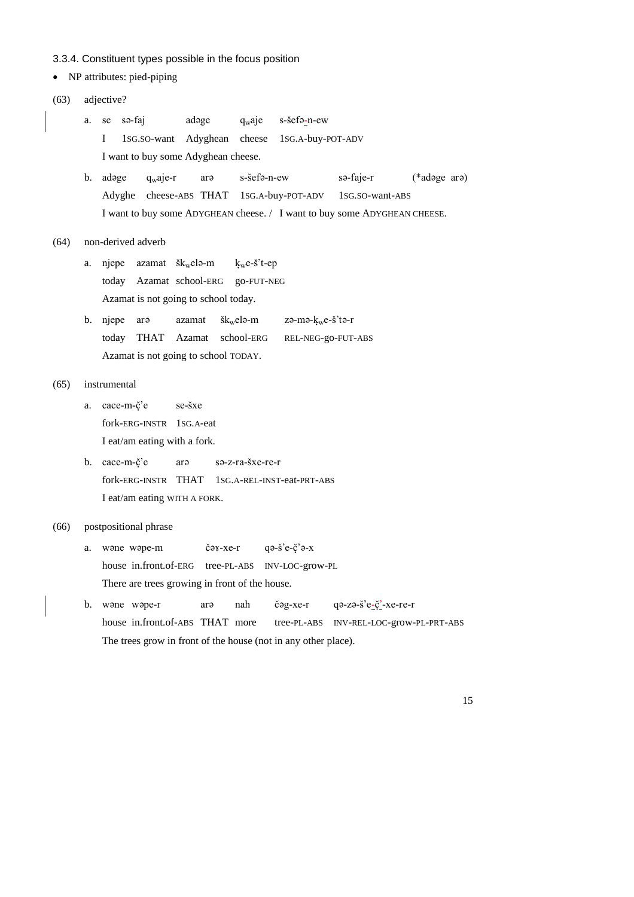#### 3.3.4. Constituent types possible in the focus position

• NP attributes: pied-piping

(63) adjective? a. se sa-faj  $adage$   $q_waje$  s-šefa-n-ew I 1SG.SO-want Adyghean cheese 1SG.A-buy-POT-ADV I want to buy some Adyghean cheese. b. adage  $q_w$ aje-r ara s-šefa-n-ew sa-faje-r (\*adage ara) Adyghe cheese-ABS THAT 1SG.A-buy-POT-ADV 1SG.SO-want-ABS I want to buy some ADYGHEAN cheese. / I want to buy some ADYGHEAN CHEESE. (64) non-derived adverb a. njepe azamat  $\delta k_w$ elə-m  $k_w$ e-š't-ep today Azamat school-ERG go-FUT-NEG Azamat is not going to school today. b. njepe ar $\theta$  azamat škwele-m ze-me-kwe-š'te-r today THAT Azamat school-ERG REL-NEG-go-FUT-ABS Azamat is not going to school TODAY. (65) instrumental a. cace-m-č'e se-šxe fork-ERG-INSTR 1SG.A-eat I eat/am eating with a fork. b. cace-m-č'e ara sa-z-ra-šxe-re-r fork-ERG-INSTR THAT 1SG.A-REL-INST-eat-PRT-ABS I eat/am eating WITH A FORK.

# (66) postpositional phrase

- a. wane wape-m  $\check{c}$ ax-xe-r qa- $\check{s}$ 'e- $\check{c}$ 'a-x house in.front.of-ERG tree-PL-ABS INV-LOC-grow-PL There are trees growing in front of the house.
- b. wone wope-r aro nah čog-xe-r qo-zo-š'e-č'-xe-re-r house in.front.of-ABS THAT more tree-PL-ABS INV-REL-LOC-grow-PL-PRT-ABS The trees grow in front of the house (not in any other place).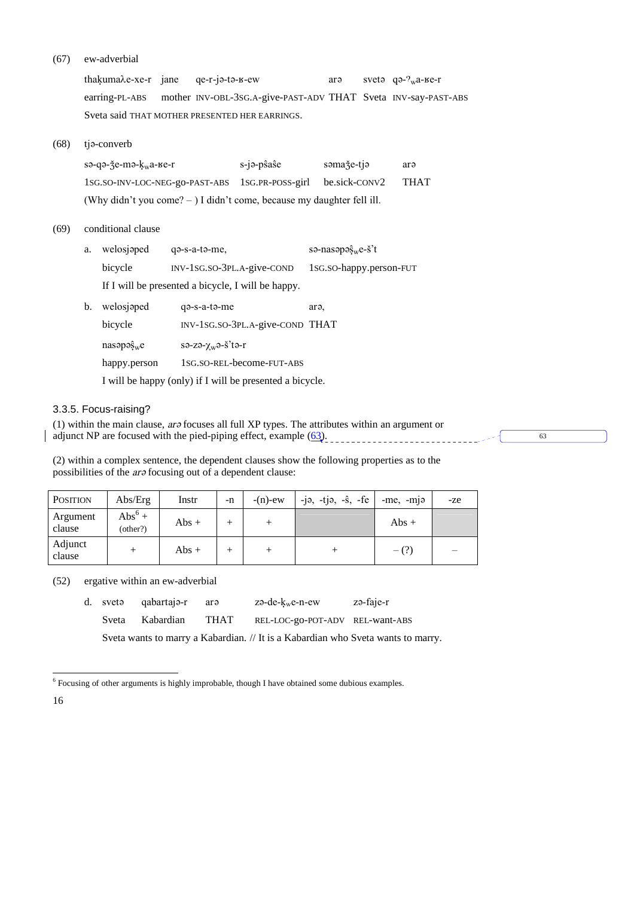#### $(67)$ ew-adverbial

thakumaλe-xe-r jane qe-r-ja-ta-в-ew sveta  $q\rightarrow 2w$ <sub>w</sub>a- $\epsilon$ -r arə earring-PL-ABS mother INV-OBL-3SG.A-give-PAST-ADV THAT Sveta INV-say-PAST-ABS Sveta said THAT MOTHER PRESENTED HER EARRINGS.

 $(68)$ tja-converb

> sə-qə-ǯe-mə-kwa-ве-r s-jə-pŝaŝe somaže-tjo arə 1SG.SO-INV-LOC-NEG-go-PAST-ABS 1SG.PR-POSS-girl be.sick-CONV2 **THAT** (Why didn't you come? - ) I didn't come, because my daughter fell ill.

 $(69)$ conditional clause

| a. welosjaped                                      | $qə-s-a-tə-me$ ,             | sə-nasəpə $\hat{\mathbf{s}}_{\rm w}$ e- $\check{\mathbf{s}}'$ t |
|----------------------------------------------------|------------------------------|-----------------------------------------------------------------|
| bicycle                                            | $INV-1SG.SO-3PL.A-give-COND$ | 1sG.so-happy.person-FUT                                         |
| If I will be presented a bicycle, I will be happy. |                              |                                                                 |

| b. welosjaped           | q <sub>2</sub> -s-a-t <sub>2</sub> -me  | ar <sub>a</sub> |
|-------------------------|-----------------------------------------|-----------------|
| bicycle                 | INV-1SG.SO-3PL.A-give-COND THAT         |                 |
| $nas$ apa $\hat{s}_w$ e | $s$ ə-zə- $\chi_w$ ə- $\check{s}$ 'tə-r |                 |
| happy.person            | 1sg.so-rel-become-FUT-ABS               |                 |
|                         |                                         |                 |

I will be happy (only) if I will be presented a bicycle.

# 3.3.5. Focus-raising?

(1) within the main clause,  $a\tau\vartheta$  focuses all full XP types. The attributes within an argument or  $\vert$  adjunct NP are focused with the pied-piping effect, example  $(63)$ .  $\overline{63}$ 

(2) within a complex sentence, the dependent clauses show the following properties as to the possibilities of the *are* focusing out of a dependent clause:

| <b>POSITION</b>    | Abs/Erg                      | Instr  | -n | $-(n)-ew$ | $-$ jə, $-$ tjə, $-\hat{s}$ , $-$ fe | $-me$ , $-mi$ $\theta$ | -ze |
|--------------------|------------------------------|--------|----|-----------|--------------------------------------|------------------------|-----|
| Argument<br>clause | $\text{Abs}^6 +$<br>(other?) | $Abs+$ |    |           |                                      | $Abs+$                 |     |
| Adjunct<br>clause  |                              | $Abs+$ |    |           |                                      | $-$ (?)                |     |

 $(52)$ ergative within an ew-adverbial

|  | d. sveta gabartaja-r ara |      | zə-de-k <sub>w</sub> e-n-ew                                                      | zə-faje-r |
|--|--------------------------|------|----------------------------------------------------------------------------------|-----------|
|  | Sveta Kabardian          | THAT | REL-LOC-go-POT-ADV REL-want-ABS                                                  |           |
|  |                          |      | Sveta wants to marry a Kabardian. // It is a Kabardian who Sveta wants to marry. |           |

 $6$  Focusing of other arguments is highly improbable, though I have obtained some dubious examples.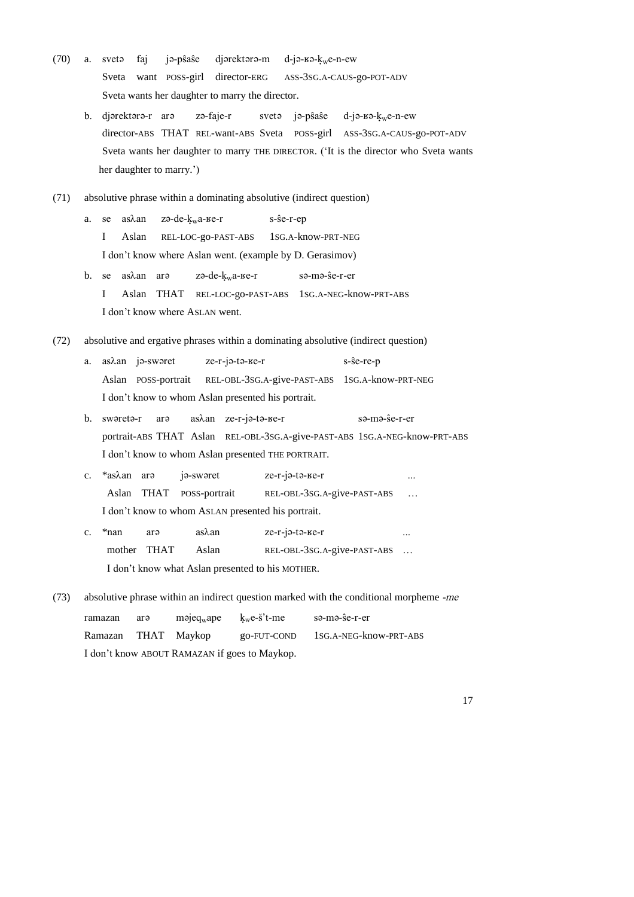- (70) a. sveta faj ja-pŝaŝe djarektara-m d-ja- $k_w$ e-n-ew Sveta want POSS-girl director-ERG ASS-3SG.A-CAUS-go-POT-ADV Sveta wants her daughter to marry the director.
	- b. djerektere-r are ze-faje-r svete je-p $\hat{s}$ a $\hat{s}$ e d-je- $\hat{s}$ - $\hat{s}$ - $\hat{k}_w$ e-n-ew director-ABS THAT REL-want-ABS Sveta POSS-girl ASS-3SG.A-CAUS-go-POT-ADV Sveta wants her daughter to marry THE DIRECTOR. ('It is the director who Sveta wants her daughter to marry.')
- (71) absolutive phrase within a dominating absolutive (indirect question)
	- a. se as $\lambda$ an zə-de- $k_w$ a- $\mu$ e-r s- $\hat{s}$ e-r-ep I Aslan REL-LOC-go-PAST-ABS 1SG.A-know-PRT-NEG I don't know where Aslan went. (example by D. Gerasimov)
	- b. se as $\lambda$ an ar $=$  zə-de- $k_w$ a- $\kappa$ e-r sə-mə- $\hat{s}$ e-r-er I Aslan THAT REL-LOC-go-PAST-ABS 1SG.A-NEG-know-PRT-ABS I don't know where ASLAN went.
- (72) absolutive and ergative phrases within a dominating absolutive (indirect question)
	- a. as $\lambda$ an ja-swaret ze-r-ja-ta-кe-r s-se-re-p Aslan POSS-portrait REL-OBL-3SG.A-give-PAST-ABS 1SG.A-know-PRT-NEG I don't know to whom Aslan presented his portrait.
	- b. swerete-r are as $\lambda$ an ze-r-je-te-ke-r se-me-se-r-er portrait-ABS THAT Aslan REL-OBL-3SG.A-give-PAST-ABS 1SG.A-NEG-know-PRT-ABS I don't know to whom Aslan presented THE PORTRAIT.
	- c.  $*$ as $\lambda$ an ar $\theta$  j $\theta$ -sw $\theta$ ret ze-r-j $\theta$ -t $\theta$ - $\theta$ -r Aslan THAT POSS-portrait REL-OBL-3SG.A-give-PAST-ABS … I don't know to whom ASLAN presented his portrait.
	- c.  $*$ nan ar $\theta$  as $\lambda$ an ze-r-j $\theta$ -t $\theta$ -ke-r ... mother THAT Aslan REL-OBL-3SG.A-give-PAST-ABS ... I don't know what Aslan presented to his MOTHER.
- (73) absolutive phrase within an indirect question marked with the conditional morpheme *-me*

| ramazan                                       | arə | $m$ $q_{w}$ ape | k <sub>w</sub> e-š't-me | sə-mə-ŝe-r-er          |  |  |  |
|-----------------------------------------------|-----|-----------------|-------------------------|------------------------|--|--|--|
| Ramazan                                       |     | THAT Mavkop     | go-FUT-COND             | 1SG.A-NEG-know-PRT-ABS |  |  |  |
| I don't know ABOUT RAMAZAN if goes to Maykop. |     |                 |                         |                        |  |  |  |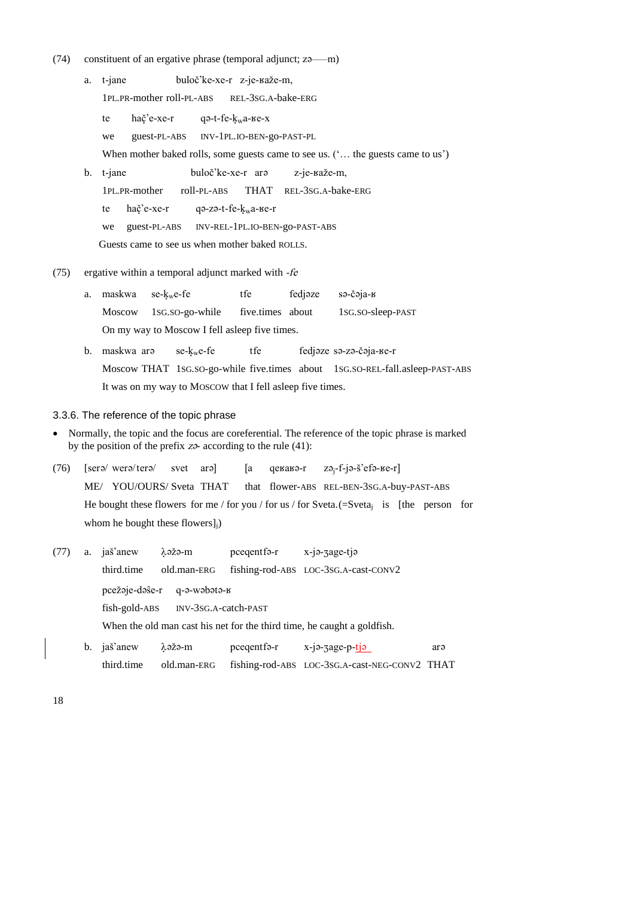- $(74)$  constituent of an ergative phrase (temporal adjunct; z $22$ —m)
	- a. t-jane buloč'ke-xe-r z-je-kaže-m, 1PL.PR-mother roll-PL-ABS REL-3SG.A-bake-ERG te ha $\check{c}$ 'e-xe-r qə-t-fe- $k_w$ a- $\check{c}$ e-xe-x we guest-PL-ABS INV-1PL.IO-BEN-go-PAST-PL When mother baked rolls, some guests came to see us. ('... the guests came to us') b. t-jane buloč'ke-xe-r are z-je-kaže-m, 1PL.PR-mother roll-PL-ABS THAT REL-3SG.A-bake-ERG te ha $\xi$ 'e-xe-r qə-zə-t-fe- $k_w$ a- $\text{Re-r}$ we guest-PL-ABS INV-REL-1PL.IO-BEN-go-PAST-ABS

Guests came to see us when mother baked ROLLS.

## (75) ergative within a temporal adjunct marked with *-fe*

- a. maskwa se- $k_w$ e-fe tfe fedjeze se-čeja- $k$ Moscow 1SG.SO-go-while five.times about 1SG.SO-sleep-PAST On my way to Moscow I fell asleep five times.
- b. maskwa ar $\theta$  se-k<sub>w</sub>e-fe tfe fedjeze se-ze-ceja- $\theta$ e-r Moscow THAT 1SG.SO-go-while five.times about 1SG.SO-REL-fall.asleep-PAST-ABS It was on my way to MOSCOW that I fell asleep five times.

## 3.3.6. The reference of the topic phrase

- Normally, the topic and the focus are coreferential. The reference of the topic phrase is marked by the position of the prefix  $z\rightarrow$  according to the rule (41):
- (76)  $\left[\text{ser}\right]$  were/tere/ svet are  $\left[\text{a} \right]$  qekake-r za<sub>j-f-j</sub>e-s'efe-ke-r] ME/ YOU/OURS/ Sveta THAT that flower-ABS REL-BEN-3SG.A-buy-PAST-ABS He bought these flowers for me / for you / for us / for Sveta.  $(=\text{Sveta}_i$  is [the person for whom he bought these flowers]<sub>i</sub>)
- $(77)$  a. jaš'anew  $\lambda$  $\theta$ ž $\theta$ -m pceqentf $\theta$ -r x-j $\theta$ -zage-tj $\theta$ third.time old.man-ERG fishing-rod-ABS LOC-3SG.A-cast-CONV2 pcežaje-daŝe-r q-a-wabata-k fish-gold-ABS INV-3SG.A-catch-PAST When the old man cast his net for the third time, he caught a goldfish. b. jaš'anew  $\lambda$ əžə-m pceqentfə-r x-jə-zage-p-tjə arə
	- third.time old.man-ERG fishing-rod-ABS LOC-3SG.A-cast-NEG-CONV2 THAT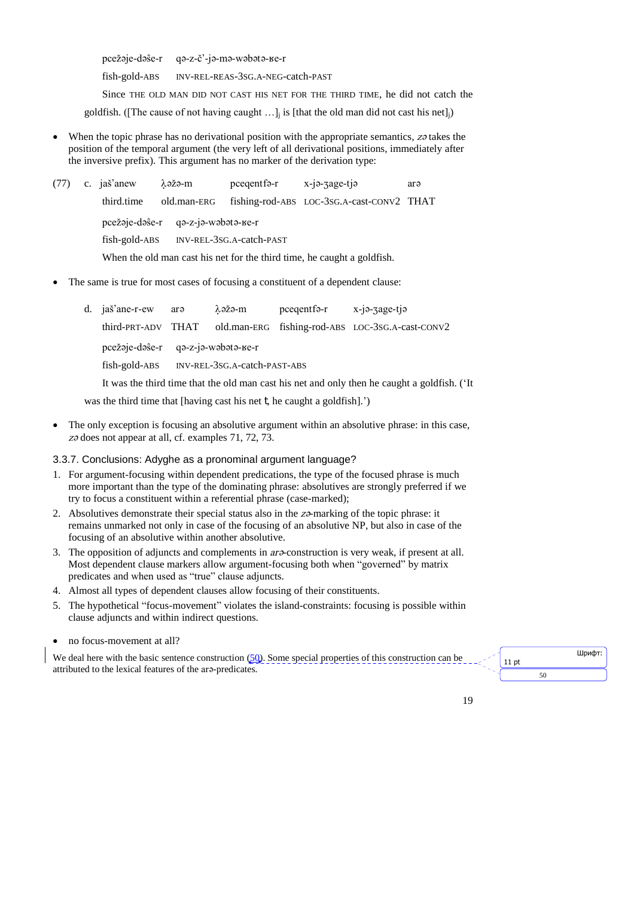pcežaje-daŝe-r qa-z-č'-ja-ma-wabata-ke-r

fish-gold-ABS INV-REL-REAS-3SG.A-NEG-catch-PAST

Since THE OLD MAN DID NOT CAST HIS NET FOR THE THIRD TIME, he did not catch the

goldfish. ([The cause of not having caught  $\ldots$ ]; is [that the old man did not cast his net];)

- When the topic phrase has no derivational position with the appropriate semantics, zo takes the position of the temporal argument (the very left of all derivational positions, immediately after the inversive prefix). This argument has no marker of the derivation type:
- $(77)$  c. jaš'anew  $\lambda$ əžə-m pceqentfə-r x-jə-zage-tjə arə third.time old.man-ERG fishing-rod-ABS LOC-3SG.A-cast-CONV2 THAT pcežaje-daŝe-r qa-z-ja-wabata-ke-r fish-gold-ABS INV-REL-3SG.A-catch-PAST When the old man cast his net for the third time, he caught a goldfish.
- The same is true for most cases of focusing a constituent of a dependent clause:

| d. jaš'ane-r-ew are                                                                         |                                                  | λəžə-m | $p$ cegentfa-r $x$ -ja-zage-tja |                                                                     |  |  |
|---------------------------------------------------------------------------------------------|--------------------------------------------------|--------|---------------------------------|---------------------------------------------------------------------|--|--|
|                                                                                             |                                                  |        |                                 | third-PRT-ADV THAT old.man-ERG fishing-rod-ABS LOC-3SG.A-cast-CONV2 |  |  |
|                                                                                             | $pec\check{z}$ aje-daŝe-r qa-z-ja-wabata- $se-r$ |        |                                 |                                                                     |  |  |
| fish-gold-ABS NV-REL-3SG.A-catch-PAST-ABS                                                   |                                                  |        |                                 |                                                                     |  |  |
| It was the third time that the old man cast his net and only then he caught a goldfish. (It |                                                  |        |                                 |                                                                     |  |  |

was the third time that [having cast his net t, he caught a goldfish].')

 The only exception is focusing an absolutive argument within an absolutive phrase: in this case, *z* $\sigma$  does not appear at all, cf. examples 71, 72, 73.

# 3.3.7. Conclusions: Adyghe as a pronominal argument language?

- 1. For argument-focusing within dependent predications, the type of the focused phrase is much more important than the type of the dominating phrase: absolutives are strongly preferred if we try to focus a constituent within a referential phrase (case-marked);
- 2. Absolutives demonstrate their special status also in the *z* $\alpha$ -marking of the topic phrase: it remains unmarked not only in case of the focusing of an absolutive NP, but also in case of the focusing of an absolutive within another absolutive.
- 3. The opposition of adjuncts and complements in *are*-construction is very weak, if present at all. Most dependent clause markers allow argument-focusing both when "governed" by matrix predicates and when used as "true" clause adjuncts.
- 4. Almost all types of dependent clauses allow focusing of their constituents.
- 5. The hypothetical "focus-movement" violates the island-constraints: focusing is possible within clause adjuncts and within indirect questions.
- no focus-movement at all?

We deal here with the basic sentence construction  $(50)$ . Some special properties of this construction can be attributed to the lexical features of the are-predicates.